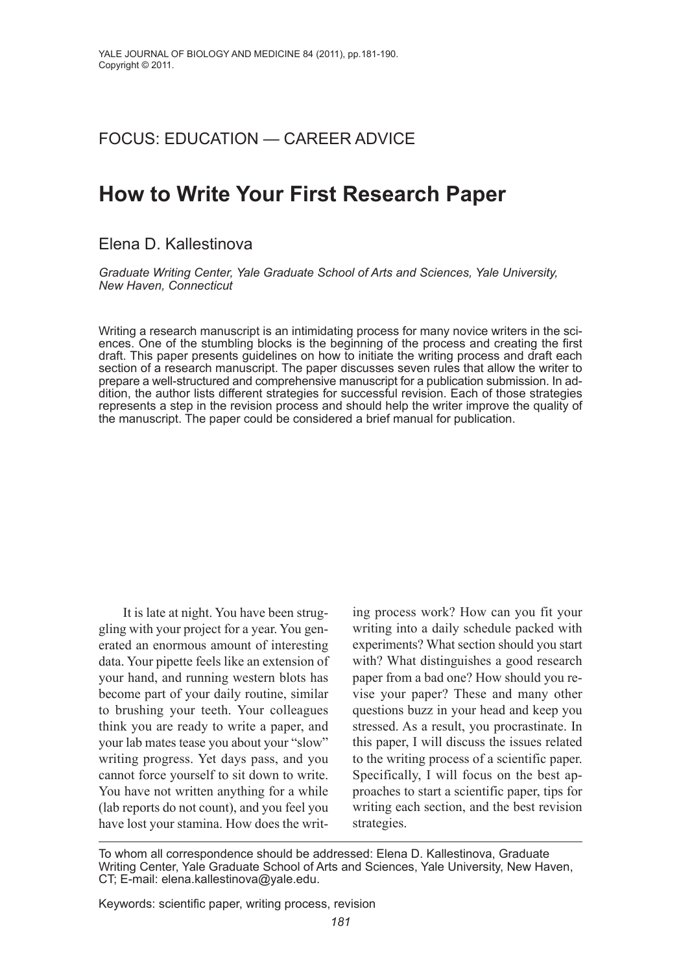# foCUS: EDUCATioN — CArEEr ADviCE

# **How to Write Your First Research Paper**

# Elena D. Kallestinova

*Graduate Writing Center, Yale Graduate School of Arts and Sciences, Yale University, New Haven, Connecticut*

Writing a research manuscript is an intimidating process for many novice writers in the sciences. one of the stumbling blocks is the beginning of the process and creating the first draft. This paper presents guidelines on how to initiate the writing process and draft each section of a research manuscript. The paper discusses seven rules that allow the writer to prepare a well-structured and comprehensive manuscript for a publication submission. in addition, the author lists different strategies for successful revision. Each of those strategies represents a step in the revision process and should help the writer improve the quality of the manuscript. The paper could be considered a brief manual for publication.

It is late at night. You have been struggling with your project for a year. You generated an enormous amount of interesting data. Your pipette feels like an extension of your hand, and running western blots has become part of your daily routine, similar to brushing your teeth. Your colleagues think you are ready to write a paper, and your lab mates tease you about your "slow" writing progress. Yet days pass, and you cannot force yourself to sit down to write. You have not written anything for a while (lab reports do not count), and you feel you have lost your stamina. How does the writing process work? How can you fit your writing into a daily schedule packed with experiments? What section should you start with? What distinguishes a good research paper from a bad one? How should you revise your paper? These and many other questions buzz in your head and keep you stressed. As a result, you procrastinate. In this paper, I will discuss the issues related to the writing process of a scientific paper. Specifically, I will focus on the best approaches to start a scientific paper, tips for writing each section, and the best revision strategies.

Keywords: scientific paper, writing process, revision

To whom all correspondence should be addressed: Elena D. Kallestinova, Graduate Writing Center, Yale Graduate School of Arts and Sciences, Yale University, New Haven, CT; E-mail: elena.kallestinova@yale.edu.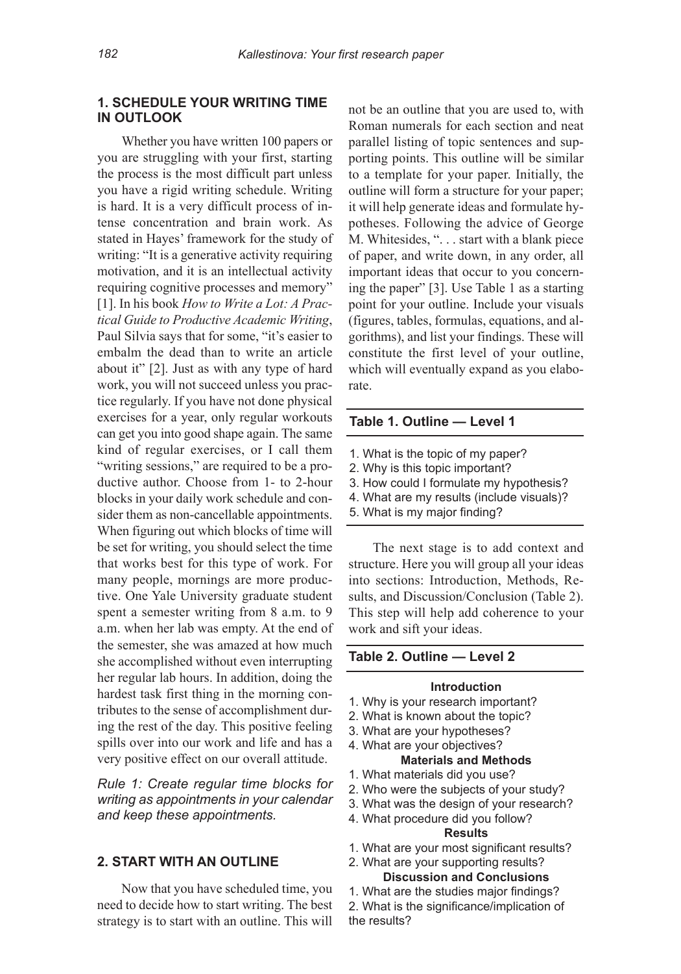# **1. SCHeDuLe YOuR WRITIng TIMe In OuTLOOk**

Whether you have written 100 papers or you are struggling with your first, starting the process is the most difficult part unless you have a rigid writing schedule. Writing is hard. It is a very difficult process of intense concentration and brain work. As stated in Hayes' framework for the study of writing: "It is a generative activity requiring motivation, and it is an intellectual activity requiring cognitive processes and memory" [1]. In his book *How to Write a Lot: A Practical Guide to Productive Academic Writing*, Paul Silvia says that for some, "it's easier to embalm the dead than to write an article about it" [2]. Just as with any type of hard work, you will not succeed unless you practice regularly. If you have not done physical exercises for a year, only regular workouts can get you into good shape again. The same kind of regular exercises, or I call them "writing sessions," are required to be a productive author. Choose from 1- to 2-hour blocks in your daily work schedule and consider them as non-cancellable appointments. When figuring out which blocks of time will be set for writing, you should select the time that works best for this type of work. For many people, mornings are more productive. One Yale University graduate student spent a semester writing from 8 a.m. to 9 a.m. when her lab was empty. At the end of the semester, she was amazed at how much she accomplished without even interrupting her regular lab hours. In addition, doing the hardest task first thing in the morning contributes to the sense of accomplishment during the rest of the day. This positive feeling spills over into our work and life and has a very positive effect on our overall attitude.

*Rule 1: Create regular time blocks for writing as appointments in your calendar and keep these appointments.*

# **2. STaRT WITH an OuTLIne**

Now that you have scheduled time, you need to decide how to start writing. The best strategy is to start with an outline. This will not be an outline that you are used to, with Roman numerals for each section and neat parallel listing of topic sentences and supporting points. This outline will be similar to a template for your paper. Initially, the outline will form a structure for your paper; it will help generate ideas and formulate hypotheses. Following the advice of George M. Whitesides, ". . . start with a blank piece of paper, and write down, in any order, all important ideas that occur to you concerning the paper" [3]. Use Table 1 as a starting point for your outline. Include your visuals (figures, tables, formulas, equations, and algorithms), and list your findings. These will constitute the first level of your outline, which will eventually expand as you elaborate.

## **Table 1. Outline — Level 1**

- 1. What is the topic of my paper?
- 2. Why is this topic important?
- 3. How could i formulate my hypothesis?
- 4. What are my results (include visuals)?
- 5. What is my major finding?

The next stage is to add context and structure. Here you will group all your ideas into sections: Introduction, Methods, Results, and Discussion/Conclusion (Table 2). This step will help add coherence to your work and sift your ideas.

### **Table 2. Outline — Level 2**

#### **Introduction**

- 1. Why is your research important?
- 2. What is known about the topic?
- 3. What are your hypotheses?
- 4. What are your objectives?
	- **Materials and Methods**
- 1. What materials did you use?
- 2. Who were the subjects of your study?
- 3. What was the design of your research?
- 4. What procedure did you follow?

# **Results**

1. What are your most significant results?

#### 2. What are your supporting results? **Discussion and Conclusions**

1. What are the studies major findings?

2. What is the significance/implication of the results?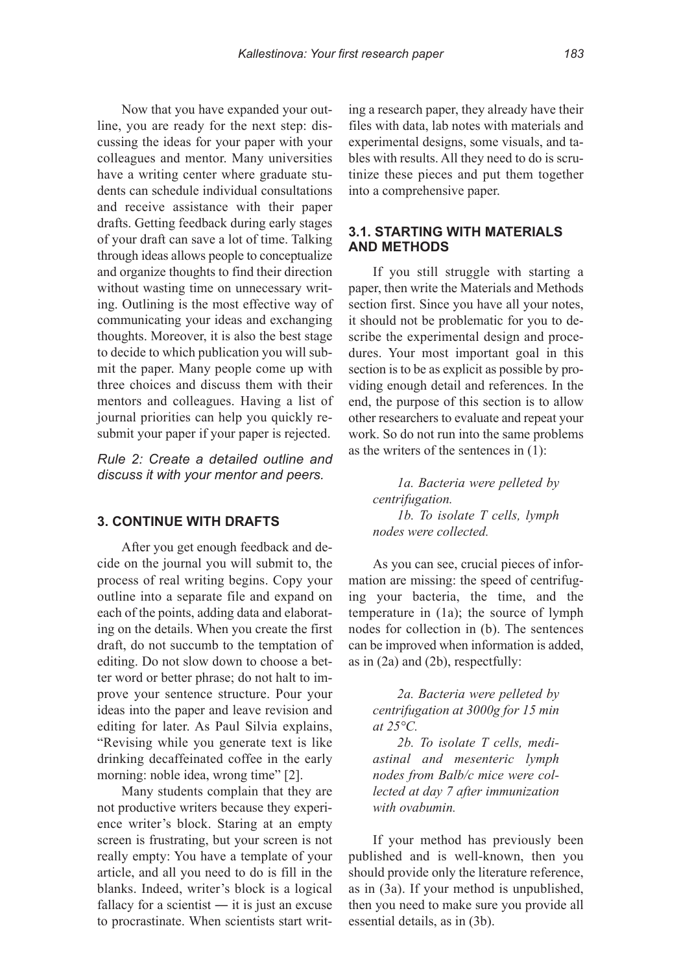Now that you have expanded your outline, you are ready for the next step: discussing the ideas for your paper with your colleagues and mentor. Many universities have a writing center where graduate students can schedule individual consultations and receive assistance with their paper drafts. Getting feedback during early stages of your draft can save a lot of time. Talking through ideas allows people to conceptualize and organize thoughts to find their direction without wasting time on unnecessary writing. Outlining is the most effective way of communicating your ideas and exchanging thoughts. Moreover, it is also the best stage to decide to which publication you will submit the paper. Many people come up with three choices and discuss them with their mentors and colleagues. Having a list of journal priorities can help you quickly resubmit your paper if your paper is rejected.

*Rule 2: Create a detailed outline and discuss it with your mentor and peers.*

# **3. COnTInue WITH DRaFTS**

After you get enough feedback and decide on the journal you will submit to, the process of real writing begins. Copy your outline into a separate file and expand on each of the points, adding data and elaborating on the details. When you create the first draft, do not succumb to the temptation of editing. Do not slow down to choose a better word or better phrase; do not halt to improve your sentence structure. Pour your ideas into the paper and leave revision and editing for later. As Paul Silvia explains, "Revising while you generate text is like drinking decaffeinated coffee in the early morning: noble idea, wrong time" [2].

Many students complain that they are not productive writers because they experience writer's block. Staring at an empty screen is frustrating, but your screen is not really empty: You have a template of your article, and all you need to do is fill in the blanks. Indeed, writer's block is a logical fallacy for a scientist  $-$  it is just an excuse to procrastinate. When scientists start writ-

ing a research paper, they already have their files with data, lab notes with materials and experimental designs, some visuals, and tables with results. All they need to do is scrutinize these pieces and put them together into a comprehensive paper.

# **3.1. STaRTIng WITH MaTeRIaLS anD MeTHODS**

If you still struggle with starting a paper, then write the Materials and Methods section first. Since you have all your notes, it should not be problematic for you to describe the experimental design and procedures. Your most important goal in this section is to be as explicit as possible by providing enough detail and references. In the end, the purpose of this section is to allow other researchers to evaluate and repeat your work. So do not run into the same problems as the writers of the sentences in (1):

> *1a. Bacteria were pelleted by centrifugation. 1b. To isolate T cells, lymph nodes were collected.*

As you can see, crucial pieces of information are missing: the speed of centrifuging your bacteria, the time, and the temperature in (1a); the source of lymph nodes for collection in (b). The sentences can be improved when information is added, as in (2a) and (2b), respectfully:

> *2a. Bacteria were pelleted by centrifugation at 3000g for 15 min at 25°C.*

> *2b. To isolate T cells, mediastinal and mesenteric lymph nodes from Balb/c mice were collected at day 7 after immunization with ovabumin.*

If your method has previously been published and is well-known, then you should provide only the literature reference, as in (3a). If your method is unpublished, then you need to make sure you provide all essential details, as in (3b).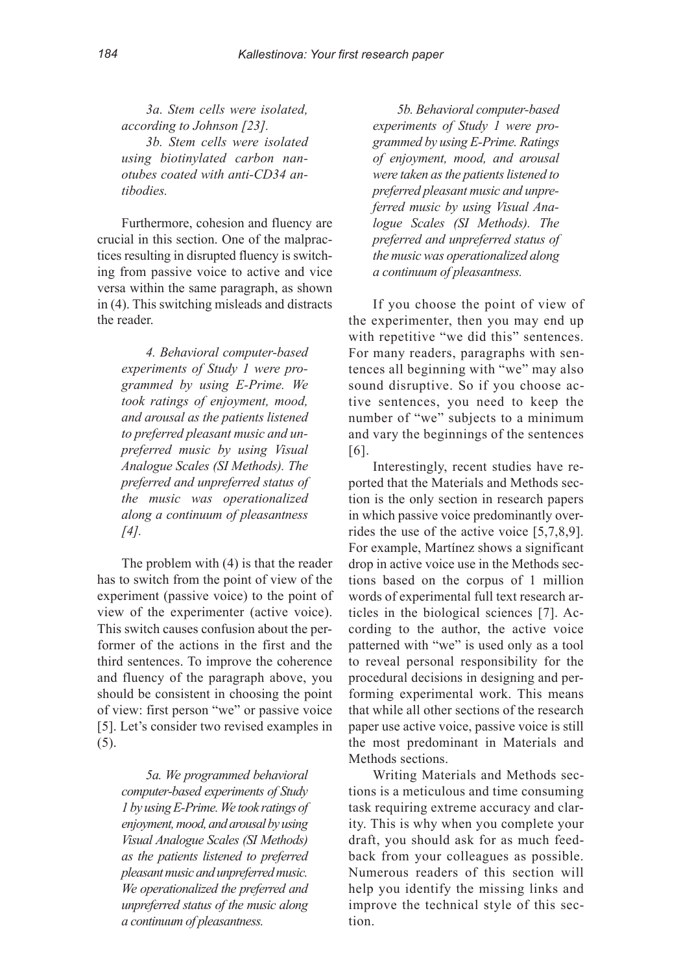*3a. Stem cells were isolated, according to Johnson [23]. 3b. Stem cells were isolated using biotinylated carbon nanotubes coated with anti-CD34 antibodies.*

Furthermore, cohesion and fluency are crucial in this section. One of the malpractices resulting in disrupted fluency is switching from passive voice to active and vice versa within the same paragraph, as shown in (4). This switching misleads and distracts the reader.

*4. Behavioral computer-based experiments of Study 1 were programmed by using E-Prime. We took ratings of enjoyment, mood, and arousal as the patients listened to preferred pleasant music and unpreferred music by using Visual Analogue Scales (SI Methods). The preferred and unpreferred status of the music was operationalized along a continuum of pleasantness [4].*

The problem with (4) is that the reader has to switch from the point of view of the experiment (passive voice) to the point of view of the experimenter (active voice). This switch causes confusion about the performer of the actions in the first and the third sentences. To improve the coherence and fluency of the paragraph above, you should be consistent in choosing the point of view: first person "we" or passive voice [5]. Let's consider two revised examples in (5).

> *5a. We programmed behavioral computer-based experiments of Study 1 by usingE-Prime.We took ratings of enjoyment,mood,andarousalbyusing Visual Analogue Scales (SI Methods) as the patients listened to preferred pleasantmusic and unpreferredmusic. We operationalized the preferred and unpreferred status of the music along a continuum of pleasantness.*

*5b. Behavioral computer-based experiments of Study 1 were programmed by using E-Prime. Ratings of enjoyment, mood, and arousal were taken as the patients listened to preferred pleasant music and unpreferred music by using Visual Analogue Scales (SI Methods). The preferred and unpreferred status of the music was operationalized along a continuum of pleasantness.*

If you choose the point of view of the experimenter, then you may end up with repetitive "we did this" sentences. For many readers, paragraphs with sentences all beginning with "we" may also sound disruptive. So if you choose active sentences, you need to keep the number of "we" subjects to a minimum and vary the beginnings of the sentences [6].

Interestingly, recent studies have reported that the Materials and Methods section is the only section in research papers in which passive voice predominantly overrides the use of the active voice [5,7,8,9]. For example, Martínez shows a significant drop in active voice use in the Methods sections based on the corpus of 1 million words of experimental full text research articles in the biological sciences [7]. According to the author, the active voice patterned with "we" is used only as a tool to reveal personal responsibility for the procedural decisions in designing and performing experimental work. This means that while all other sections of the research paper use active voice, passive voice is still the most predominant in Materials and Methods sections.

Writing Materials and Methods sections is a meticulous and time consuming task requiring extreme accuracy and clarity. This is why when you complete your draft, you should ask for as much feedback from your colleagues as possible. Numerous readers of this section will help you identify the missing links and improve the technical style of this section.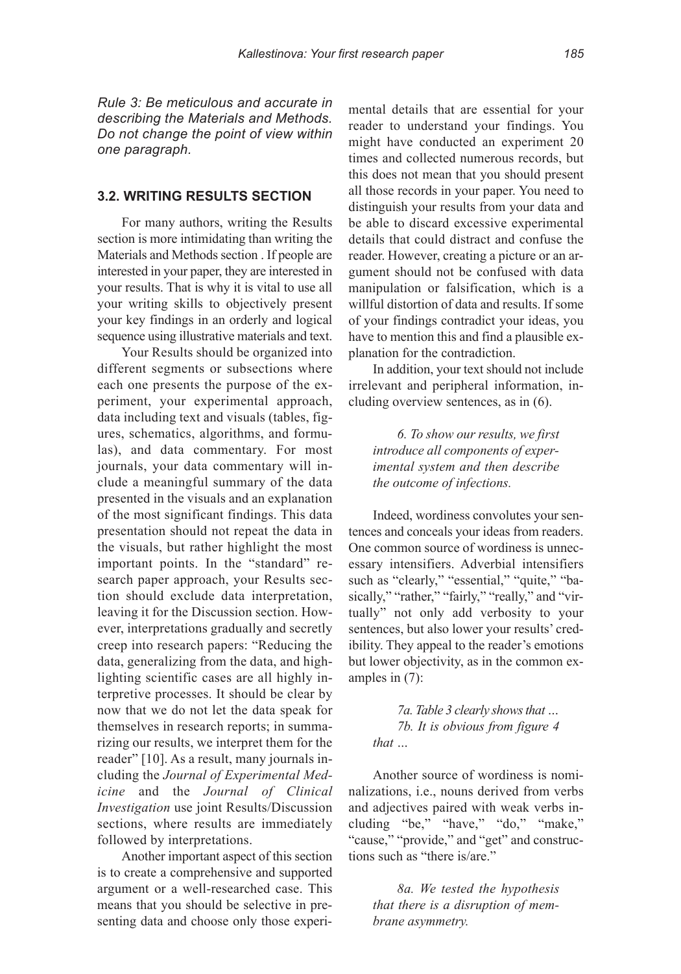*Rule 3: Be meticulous and accurate in describing the Materials and Methods. Do not change the point of view within one paragraph.*

## **3.2. WRITIng ReSuLTS SeCTIOn**

For many authors, writing the Results section is more intimidating than writing the Materials and Methods section . If people are interested in your paper, they are interested in your results. That is why it is vital to use all your writing skills to objectively present your key findings in an orderly and logical sequence using illustrative materials and text.

Your Results should be organized into different segments or subsections where each one presents the purpose of the experiment, your experimental approach, data including text and visuals (tables, figures, schematics, algorithms, and formulas), and data commentary. For most journals, your data commentary will include a meaningful summary of the data presented in the visuals and an explanation of the most significant findings. This data presentation should not repeat the data in the visuals, but rather highlight the most important points. In the "standard" research paper approach, your Results section should exclude data interpretation, leaving it for the Discussion section. However, interpretations gradually and secretly creep into research papers: "Reducing the data, generalizing from the data, and highlighting scientific cases are all highly interpretive processes. It should be clear by now that we do not let the data speak for themselves in research reports; in summarizing our results, we interpret them for the reader" [10]. As a result, many journals including the *Journal of Experimental Medicine* and the *Journal of Clinical Investigation* use joint Results/Discussion sections, where results are immediately followed by interpretations.

Another important aspect of this section is to create a comprehensive and supported argument or a well-researched case. This means that you should be selective in presenting data and choose only those experimental details that are essential for your reader to understand your findings. You might have conducted an experiment 20 times and collected numerous records, but this does not mean that you should present all those records in your paper. You need to distinguish your results from your data and be able to discard excessive experimental details that could distract and confuse the reader. However, creating a picture or an argument should not be confused with data manipulation or falsification, which is a willful distortion of data and results. If some of your findings contradict your ideas, you have to mention this and find a plausible explanation for the contradiction.

In addition, your text should not include irrelevant and peripheral information, including overview sentences, as in (6).

> *6. To show our results, we first introduce all components of experimental system and then describe the outcome of infections.*

Indeed, wordiness convolutes your sentences and conceals your ideas from readers. One common source of wordiness is unnecessary intensifiers. Adverbial intensifiers such as "clearly," "essential," "quite," "basically," "rather," "fairly," "really," and "virtually" not only add verbosity to your sentences, but also lower your results' credibility. They appeal to the reader's emotions but lower objectivity, as in the common examples in (7):

> *7a. Table 3 clearly showsthat … 7b. It is obvious from figure 4 that …*

Another source of wordiness is nominalizations, i.e., nouns derived from verbs and adjectives paired with weak verbs including "be," "have," "do," "make," "cause," "provide," and "get" and constructions such as "there is/are."

> *8a. We tested the hypothesis that there is a disruption of membrane asymmetry.*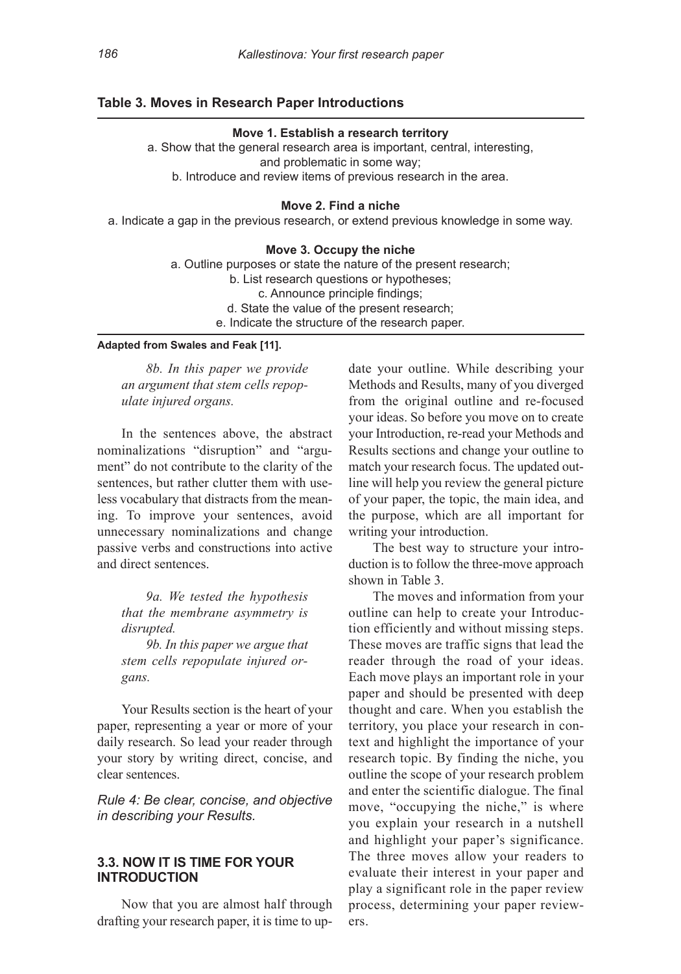# **Table 3. Moves in Research Paper Introductions**

#### **Move 1. establish a research territory**

a. Show that the general research area is important, central, interesting, and problematic in some way; b. introduce and review items of previous research in the area.

## **Move 2. Find a niche**

a. indicate a gap in the previous research, or extend previous knowledge in some way.

#### **Move 3. Occupy the niche**

a. Outline purposes or state the nature of the present research; b. List research questions or hypotheses; c. Announce principle findings; d. State the value of the present research; e. indicate the structure of the research paper.

#### **adapted from Swales and Feak [11].**

*8b. In this paper we provide an argument that stem cells repopulate injured organs.*

In the sentences above, the abstract nominalizations "disruption" and "argument" do not contribute to the clarity of the sentences, but rather clutter them with useless vocabulary that distracts from the meaning. To improve your sentences, avoid unnecessary nominalizations and change passive verbs and constructions into active and direct sentences.

*9a. We tested the hypothesis that the membrane asymmetry is disrupted.*

*9b. In this paper we argue that stem cells repopulate injured organs.*

Your Results section is the heart of your paper, representing a year or more of your daily research. So lead your reader through your story by writing direct, concise, and clear sentences.

*Rule 4: Be clear, concise, and objective in describing your Results.*

# **3.3. nOW IT IS TIMe FOR YOuR InTRODuCTIOn**

Now that you are almost half through drafting your research paper, it is time to update your outline. While describing your Methods and Results, many of you diverged from the original outline and re-focused your ideas. So before you move on to create your Introduction, re-read your Methods and Results sections and change your outline to match your research focus. The updated outline will help you review the general picture of your paper, the topic, the main idea, and the purpose, which are all important for writing your introduction.

The best way to structure your introduction is to follow the three-move approach shown in Table 3.

The moves and information from your outline can help to create your Introduction efficiently and without missing steps. These moves are traffic signs that lead the reader through the road of your ideas. Each move plays an important role in your paper and should be presented with deep thought and care. When you establish the territory, you place your research in context and highlight the importance of your research topic. By finding the niche, you outline the scope of your research problem and enter the scientific dialogue. The final move, "occupying the niche," is where you explain your research in a nutshell and highlight your paper's significance. The three moves allow your readers to evaluate their interest in your paper and play a significant role in the paper review process, determining your paper reviewers.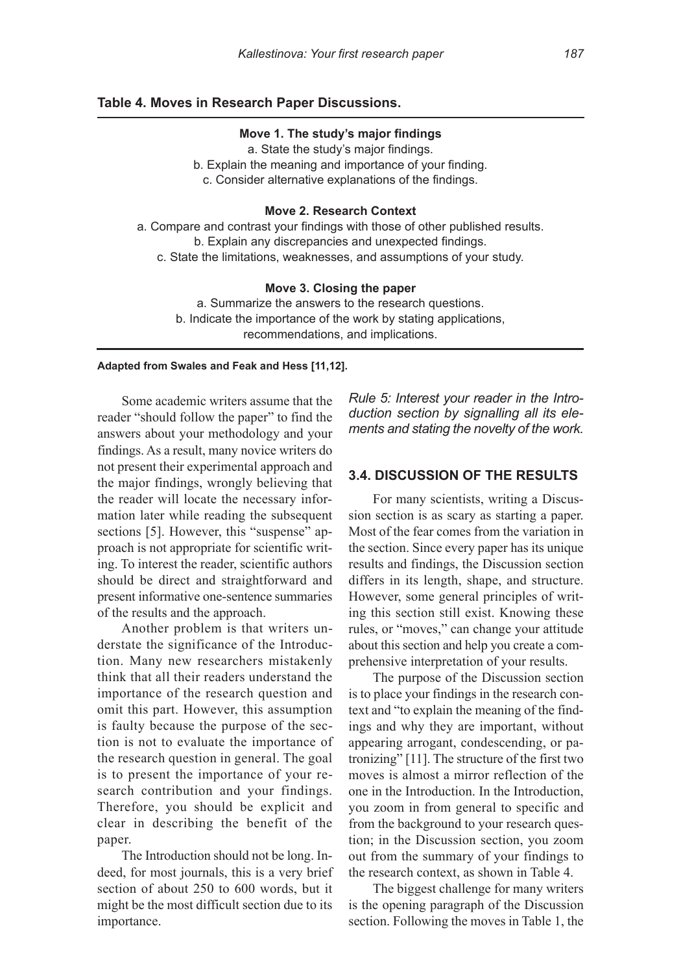# **Table 4. Moves in Research Paper Discussions.**

#### **Move 1. The study's major findings**

a. State the study's major findings.

b. Explain the meaning and importance of your finding.

c. Consider alternative explanations of the findings.

#### **Move 2. Research Context**

a. Compare and contrast your findings with those of other published results. b. Explain any discrepancies and unexpected findings. c. State the limitations, weaknesses, and assumptions of your study.

#### **Move 3. Closing the paper**

a. Summarize the answers to the research questions. b. indicate the importance of the work by stating applications, recommendations, and implications.

#### **adapted from Swales and Feak and Hess [11,12].**

Some academic writers assume that the reader "should follow the paper" to find the answers about your methodology and your findings. As a result, many novice writers do not present their experimental approach and the major findings, wrongly believing that the reader will locate the necessary information later while reading the subsequent sections [5]. However, this "suspense" approach is not appropriate for scientific writing. To interest the reader, scientific authors should be direct and straightforward and present informative one-sentence summaries of the results and the approach.

Another problem is that writers understate the significance of the Introduction. Many new researchers mistakenly think that all their readers understand the importance of the research question and omit this part. However, this assumption is faulty because the purpose of the section is not to evaluate the importance of the research question in general. The goal is to present the importance of your research contribution and your findings. Therefore, you should be explicit and clear in describing the benefit of the paper.

The Introduction should not be long. Indeed, for most journals, this is a very brief section of about 250 to 600 words, but it might be the most difficult section due to its importance.

*Rule 5: Interest your reader in the Introduction section by signalling all its elements and stating the novelty of the work.*

# **3.4. DISCuSSIOn OF THe ReSuLTS**

For many scientists, writing a Discussion section is as scary as starting a paper. Most of the fear comes from the variation in the section. Since every paper has its unique results and findings, the Discussion section differs in its length, shape, and structure. However, some general principles of writing this section still exist. Knowing these rules, or "moves," can change your attitude about this section and help you create a comprehensive interpretation of your results.

The purpose of the Discussion section is to place your findings in the research context and "to explain the meaning of the findings and why they are important, without appearing arrogant, condescending, or patronizing" [11]. The structure of the first two moves is almost a mirror reflection of the one in the Introduction. In the Introduction, you zoom in from general to specific and from the background to your research question; in the Discussion section, you zoom out from the summary of your findings to the research context, as shown in Table 4.

The biggest challenge for many writers is the opening paragraph of the Discussion section. Following the moves in Table 1, the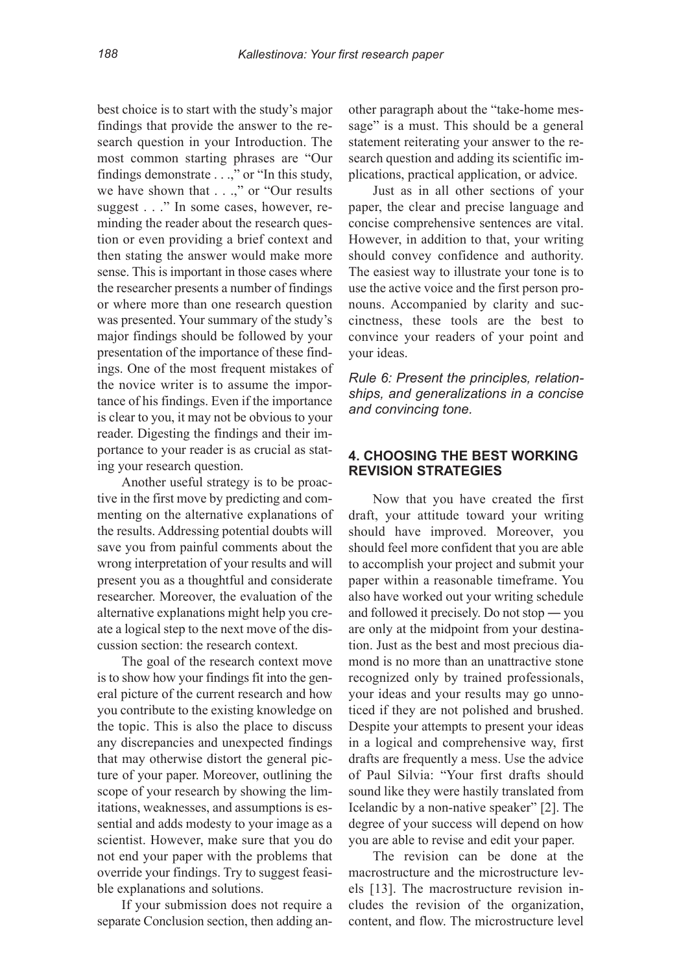best choice is to start with the study's major findings that provide the answer to the research question in your Introduction. The most common starting phrases are "Our findings demonstrate . . .," or "In this study, we have shown that . . .," or "Our results" suggest . . ." In some cases, however, reminding the reader about the research question or even providing a brief context and then stating the answer would make more sense. This is important in those cases where the researcher presents a number of findings or where more than one research question was presented. Your summary of the study's major findings should be followed by your presentation of the importance of these findings. One of the most frequent mistakes of the novice writer is to assume the importance of his findings. Even if the importance is clear to you, it may not be obvious to your reader. Digesting the findings and their importance to your reader is as crucial as stating your research question.

Another useful strategy is to be proactive in the first move by predicting and commenting on the alternative explanations of the results. Addressing potential doubts will save you from painful comments about the wrong interpretation of your results and will present you as a thoughtful and considerate researcher. Moreover, the evaluation of the alternative explanations might help you create a logical step to the next move of the discussion section: the research context.

The goal of the research context move is to show how your findings fit into the general picture of the current research and how you contribute to the existing knowledge on the topic. This is also the place to discuss any discrepancies and unexpected findings that may otherwise distort the general picture of your paper. Moreover, outlining the scope of your research by showing the limitations, weaknesses, and assumptions is essential and adds modesty to your image as a scientist. However, make sure that you do not end your paper with the problems that override your findings. Try to suggest feasible explanations and solutions.

If your submission does not require a separate Conclusion section, then adding another paragraph about the "take-home message" is a must. This should be a general statement reiterating your answer to the research question and adding its scientific implications, practical application, or advice.

Just as in all other sections of your paper, the clear and precise language and concise comprehensive sentences are vital. However, in addition to that, your writing should convey confidence and authority. The easiest way to illustrate your tone is to use the active voice and the first person pronouns. Accompanied by clarity and succinctness, these tools are the best to convince your readers of your point and your ideas.

*Rule 6: Present the principles, relationships, and generalizations in a concise and convincing tone.*

# **4. CHOOSIng THe beST WORkIng RevISIOn STRaTegIeS**

Now that you have created the first draft, your attitude toward your writing should have improved. Moreover, you should feel more confident that you are able to accomplish your project and submit your paper within a reasonable timeframe. You also have worked out your writing schedule and followed it precisely. Do not stop ― you are only at the midpoint from your destination. Just as the best and most precious diamond is no more than an unattractive stone recognized only by trained professionals, your ideas and your results may go unnoticed if they are not polished and brushed. Despite your attempts to present your ideas in a logical and comprehensive way, first drafts are frequently a mess. Use the advice of Paul Silvia: "Your first drafts should sound like they were hastily translated from Icelandic by a non-native speaker" [2]. The degree of your success will depend on how you are able to revise and edit your paper.

The revision can be done at the macrostructure and the microstructure levels [13]. The macrostructure revision includes the revision of the organization, content, and flow. The microstructure level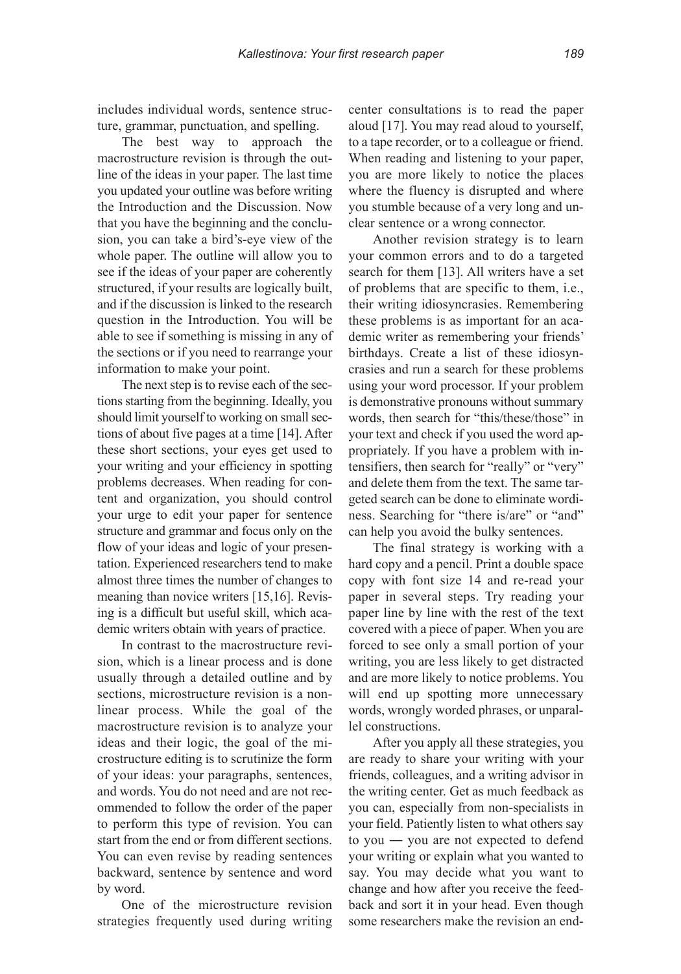includes individual words, sentence structure, grammar, punctuation, and spelling.

The best way to approach the macrostructure revision is through the outline of the ideas in your paper. The last time you updated your outline was before writing the Introduction and the Discussion. Now that you have the beginning and the conclusion, you can take a bird's-eye view of the whole paper. The outline will allow you to see if the ideas of your paper are coherently structured, if your results are logically built, and if the discussion is linked to the research question in the Introduction. You will be able to see if something is missing in any of the sections or if you need to rearrange your information to make your point.

The next step is to revise each of the sectionsstarting from the beginning. Ideally, you should limit yourself to working on small sections of about five pages at a time [14]. After these short sections, your eyes get used to your writing and your efficiency in spotting problems decreases. When reading for content and organization, you should control your urge to edit your paper for sentence structure and grammar and focus only on the flow of your ideas and logic of your presentation. Experienced researchers tend to make almost three times the number of changes to meaning than novice writers [15,16]. Revising is a difficult but useful skill, which academic writers obtain with years of practice.

In contrast to the macrostructure revision, which is a linear process and is done usually through a detailed outline and by sections, microstructure revision is a nonlinear process. While the goal of the macrostructure revision is to analyze your ideas and their logic, the goal of the microstructure editing is to scrutinize the form of your ideas: your paragraphs, sentences, and words. You do not need and are not recommended to follow the order of the paper to perform this type of revision. You can start from the end or from different sections. You can even revise by reading sentences backward, sentence by sentence and word by word.

One of the microstructure revision strategies frequently used during writing center consultations is to read the paper aloud [17]. You may read aloud to yourself, to a tape recorder, or to a colleague or friend. When reading and listening to your paper, you are more likely to notice the places where the fluency is disrupted and where you stumble because of a very long and unclear sentence or a wrong connector.

Another revision strategy is to learn your common errors and to do a targeted search for them [13]. All writers have a set of problems that are specific to them, i.e., their writing idiosyncrasies. Remembering these problems is as important for an academic writer as remembering your friends' birthdays. Create a list of these idiosyncrasies and run a search for these problems using your word processor. If your problem is demonstrative pronouns without summary words, then search for "this/these/those" in your text and check if you used the word appropriately. If you have a problem with intensifiers, then search for "really" or "very" and delete them from the text. The same targeted search can be done to eliminate wordiness. Searching for "there is/are" or "and" can help you avoid the bulky sentences.

The final strategy is working with a hard copy and a pencil. Print a double space copy with font size 14 and re-read your paper in several steps. Try reading your paper line by line with the rest of the text covered with a piece of paper. When you are forced to see only a small portion of your writing, you are less likely to get distracted and are more likely to notice problems. You will end up spotting more unnecessary words, wrongly worded phrases, or unparallel constructions.

After you apply all these strategies, you are ready to share your writing with your friends, colleagues, and a writing advisor in the writing center. Get as much feedback as you can, especially from non-specialists in your field. Patiently listen to what others say to you ― you are not expected to defend your writing or explain what you wanted to say. You may decide what you want to change and how after you receive the feedback and sort it in your head. Even though some researchers make the revision an end-